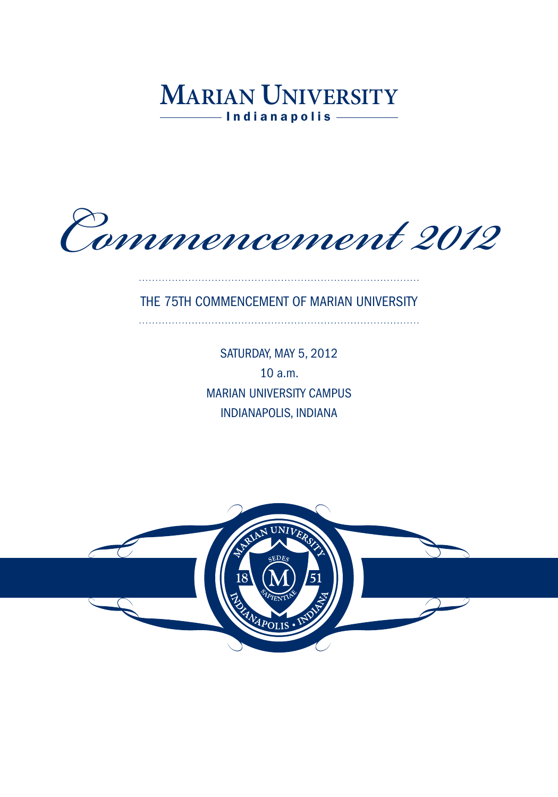



# The 75th commencement of Marian university

SATURDAY, MAY 5, 2012 10 a.m. MARIAN UNIVERSITY CAMPUS INDIANAPOLIS, INDIANA

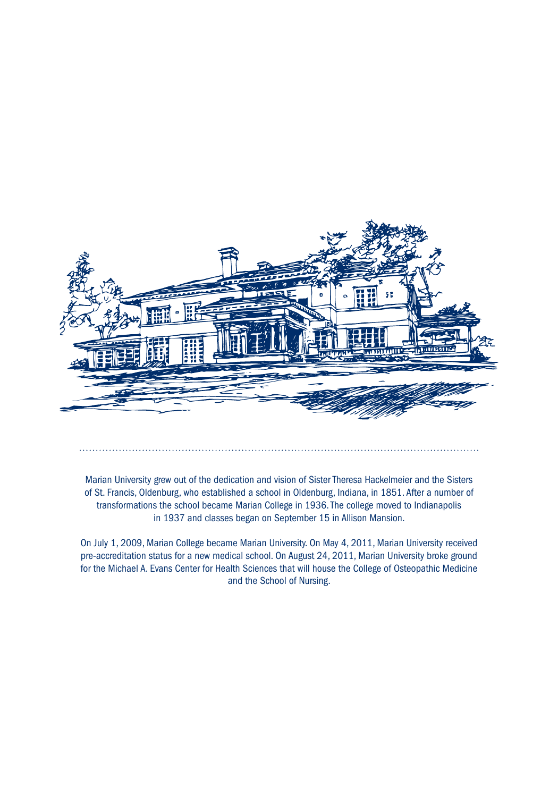

Marian University grew out of the dedication and vision of Sister Theresa Hackelmeier and the Sisters of St. Francis, Oldenburg, who established a school in Oldenburg, Indiana, in 1851. After a number of transformations the school became Marian College in 1936. The college moved to Indianapolis in 1937 and classes began on September 15 in Allison Mansion.

On July 1, 2009, Marian College became Marian University. On May 4, 2011, Marian University received pre-accreditation status for a new medical school. On August 24, 2011, Marian University broke ground for the Michael A. Evans Center for Health Sciences that will house the College of Osteopathic Medicine and the School of Nursing.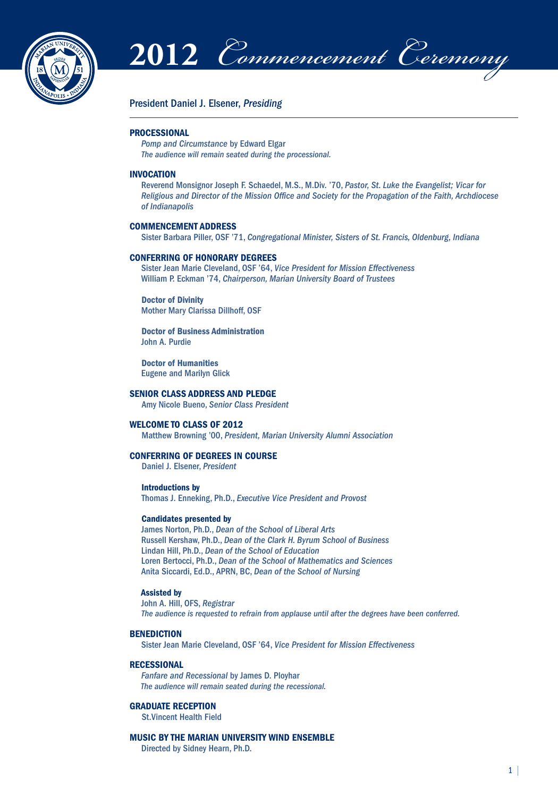



### President Daniel J. Elsener, *Presiding*

#### PROCESSIONAL

*Pomp and Circumstance* by Edward Elgar *The audience will remain seated during the processional.*

### INVOCATION

 Reverend Monsignor Joseph F. Schaedel, M.S., M.Div. '70, *Pastor, St. Luke the Evangelist; Vicar for Religious and Director of the Mission Office and Society for the Propagation of the Faith, Archdiocese of Indianapolis*

#### COMMENCEMENT ADDRESS

Sister Barbara Piller, OSF '71, *Congregational Minister, Sisters of St. Francis, Oldenburg, Indiana*

#### CONFERRING OF HONORARY DEGREES

 Sister Jean Marie Cleveland, OSF '64, *Vice President for Mission Effectiveness* William P. Eckman '74, *Chairperson, Marian University Board of Trustees*

 Doctor of Divinity Mother Mary Clarissa Dillhoff, OSF

 Doctor of Business Administration John A. Purdie

 Doctor of Humanities Eugene and Marilyn Glick

#### SENIOR CLASS ADDRESS AND PLEDGE

Amy Nicole Bueno, *Senior Class President*

#### WELCOME TO CLASS OF 2012

Matthew Browning '00, *President, Marian University Alumni Association*

### CONFERRING OF DEGREES IN COURSE

Daniel J. Elsener, *President*

#### Introductions by

Thomas J. Enneking, Ph.D., *Executive Vice President and Provost*

#### Candidates presented by

 James Norton, Ph.D., *Dean of the School of Liberal Arts* Russell Kershaw, Ph.D., *Dean of the Clark H. Byrum School of Business* Lindan Hill, Ph.D., *Dean of the School of Education* Loren Bertocci, Ph.D., *Dean of the School of Mathematics and Sciences* Anita Siccardi, Ed.D., APRN, BC, *Dean of the School of Nursing*

#### Assisted by

 John A. Hill, OFS, *Registrar The audience is requested to refrain from applause until after the degrees have been conferred.*

#### **BENEDICTION**

Sister Jean Marie Cleveland, OSF '64, *Vice President for Mission Effectiveness*

#### **RECESSIONAL**

 *Fanfare and Recessional* by James D. Ployhar  *The audience will remain seated during the recessional.*

#### GRADUATE RECEPTION

St.Vincent Health Field

#### MUSIC BY THE Marian University Wind Ensemble

Directed by Sidney Hearn, Ph.D.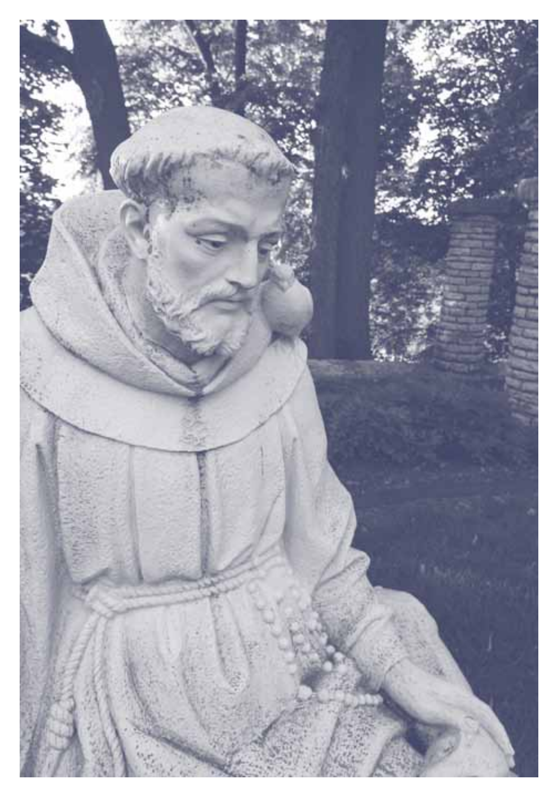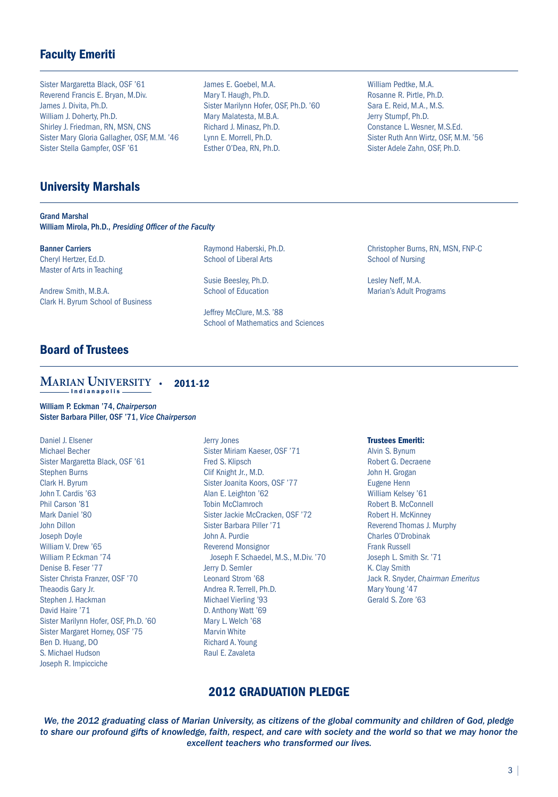# Faculty Emeriti

Sister Margaretta Black, OSF '61 Reverend Francis E. Bryan, M.Div. James J. Divita, Ph.D. William J. Doherty, Ph.D. Shirley J. Friedman, RN, MSN, CNS Sister Mary Gloria Gallagher, OSF, M.M. '46 Sister Stella Gampfer, OSF '61

# University Marshals

#### Grand Marshal William Mirola, Ph.D., *Presiding Officer of the Faculty*

Banner Carriers Cheryl Hertzer, Ed.D. Master of Arts in Teaching

Andrew Smith, M.B.A. Clark H. Byrum School of Business Raymond Haberski, Ph.D. School of Liberal Arts

James E. Goebel, M.A. Mary T. Haugh, Ph.D.

Mary Malatesta, M.B.A. Richard J. Minasz, Ph.D. Lynn E. Morrell, Ph.D. Esther O'Dea, RN, Ph.D.

Sister Marilynn Hofer, OSF, Ph.D. '60

Susie Beesley, Ph.D. School of Education

Jeffrey McClure, M.S. '88 School of Mathematics and Sciences William Pedtke, M.A. Rosanne R. Pirtle, Ph.D. Sara E. Reid, M.A., M.S. Jerry Stumpf, Ph.D. Constance L. Wesner, M.S.Ed. Sister Ruth Ann Wirtz, OSF, M.M. '56 Sister Adele Zahn, OSF, Ph.D.

Christopher Burns, RN, MSN, FNP-C School of Nursing

Lesley Neff, M.A. Marian's Adult Programs

# Board of Trustees

#### 2011-12 **MARIAN UNIVERSITY** Indianapolis

### William P. Eckman '74, *Chairperson* Sister Barbara Piller, OSF '71, *Vice Chairperson*

Daniel J. Elsener Michael Becher Sister Margaretta Black, OSF '61 Stephen Burns Clark H. Byrum John T. Cardis '63 Phil Carson '81 Mark Daniel '80 John Dillon Joseph Doyle William V. Drew '65 William P. Eckman '74 Denise B. Feser '77 Sister Christa Franzer, OSF '70 Theaodis Gary Jr. Stephen J. Hackman David Haire '71 Sister Marilynn Hofer, OSF, Ph.D. '60 Sister Margaret Horney, OSF '75 Ben D. Huang, DO S. Michael Hudson Joseph R. Impicciche

Jerry Jones Sister Miriam Kaeser, OSF '71 Fred S. Klipsch Clif Knight Jr., M.D. Sister Joanita Koors, OSF '77 Alan E. Leighton '62 Tobin McClamroch Sister Jackie McCracken, OSF '72 Sister Barbara Piller '71 John A. Purdie Reverend Monsignor Joseph F. Schaedel, M.S., M.Div. '70 Jerry D. Semler Leonard Strom '68 Andrea R. Terrell, Ph.D. Michael Vierling '93 D. Anthony Watt '69 Mary L. Welch '68 Marvin White Richard A. Young Raul E. Zavaleta

#### Trustees Emeriti:

Alvin S. Bynum Robert G. Decraene John H. Grogan Eugene Henn William Kelsey '61 Robert B. McConnell Robert H. McKinney Reverend Thomas J. Murphy Charles O'Drobinak Frank Russell Joseph L. Smith Sr. '71 K. Clay Smith Jack R. Snyder, *Chairman Emeritus* Mary Young '47 Gerald S. Zore '63

### 2012 GRADUATION PLEDGE

We, the 2012 graduating class of Marian University, as citizens of the global community and children of God, pledge to share our profound gifts of knowledge, faith, respect, and care with society and the world so that we may honor the *excellent teachers who transformed our lives.*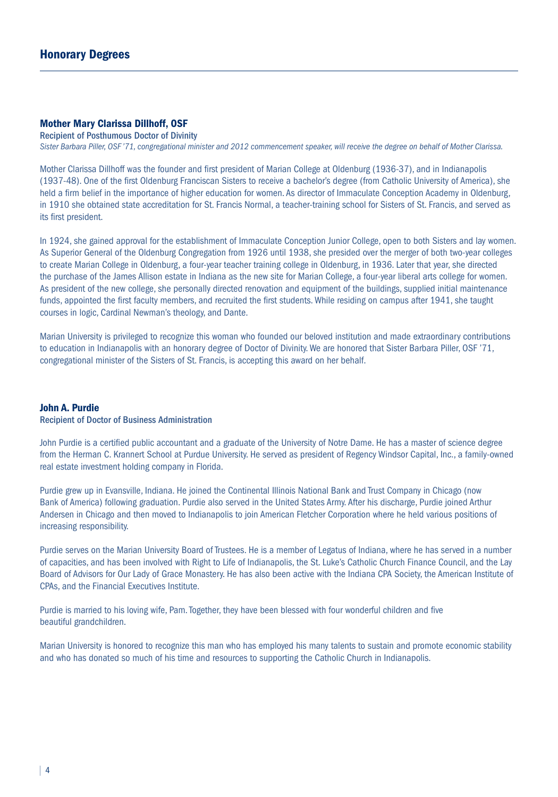### Mother Mary Clarissa Dillhoff, OSF

#### Recipient of Posthumous Doctor of Divinity

*Sister Barbara Piller, OSF '71, congregational minister and 2012 commencement speaker, will receive the degree on behalf of Mother Clarissa.*

Mother Clarissa Dillhoff was the founder and first president of Marian College at Oldenburg (1936-37), and in Indianapolis (1937-48). One of the first Oldenburg Franciscan Sisters to receive a bachelor's degree (from Catholic University of America), she held a firm belief in the importance of higher education for women. As director of Immaculate Conception Academy in Oldenburg, in 1910 she obtained state accreditation for St. Francis Normal, a teacher-training school for Sisters of St. Francis, and served as its first president.

In 1924, she gained approval for the establishment of Immaculate Conception Junior College, open to both Sisters and lay women. As Superior General of the Oldenburg Congregation from 1926 until 1938, she presided over the merger of both two-year colleges to create Marian College in Oldenburg, a four-year teacher training college in Oldenburg, in 1936. Later that year, she directed the purchase of the James Allison estate in Indiana as the new site for Marian College, a four-year liberal arts college for women. As president of the new college, she personally directed renovation and equipment of the buildings, supplied initial maintenance funds, appointed the first faculty members, and recruited the first students. While residing on campus after 1941, she taught courses in logic, Cardinal Newman's theology, and Dante.

Marian University is privileged to recognize this woman who founded our beloved institution and made extraordinary contributions to education in Indianapolis with an honorary degree of Doctor of Divinity. We are honored that Sister Barbara Piller, OSF '71, congregational minister of the Sisters of St. Francis, is accepting this award on her behalf.

### John A. Purdie

### Recipient of Doctor of Business Administration

John Purdie is a certified public accountant and a graduate of the University of Notre Dame. He has a master of science degree from the Herman C. Krannert School at Purdue University. He served as president of Regency Windsor Capital, Inc., a family-owned real estate investment holding company in Florida.

Purdie grew up in Evansville, Indiana. He joined the Continental Illinois National Bank and Trust Company in Chicago (now Bank of America) following graduation. Purdie also served in the United States Army. After his discharge, Purdie joined Arthur Andersen in Chicago and then moved to Indianapolis to join American Fletcher Corporation where he held various positions of increasing responsibility.

Purdie serves on the Marian University Board of Trustees. He is a member of Legatus of Indiana, where he has served in a number of capacities, and has been involved with Right to Life of Indianapolis, the St. Luke's Catholic Church Finance Council, and the Lay Board of Advisors for Our Lady of Grace Monastery. He has also been active with the Indiana CPA Society, the American Institute of CPAs, and the Financial Executives Institute.

Purdie is married to his loving wife, Pam. Together, they have been blessed with four wonderful children and five beautiful grandchildren.

Marian University is honored to recognize this man who has employed his many talents to sustain and promote economic stability and who has donated so much of his time and resources to supporting the Catholic Church in Indianapolis.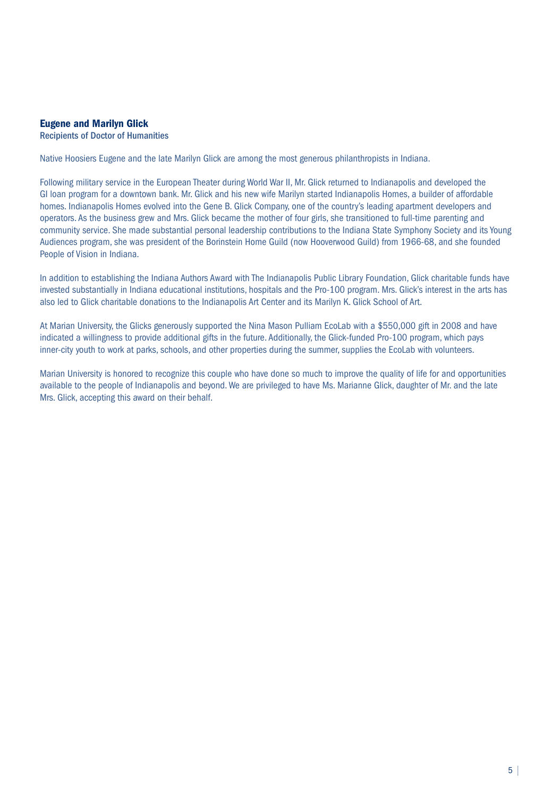### Eugene and Marilyn Glick

### Recipients of Doctor of Humanities

Native Hoosiers Eugene and the late Marilyn Glick are among the most generous philanthropists in Indiana.

Following military service in the European Theater during World War II, Mr. Glick returned to Indianapolis and developed the GI loan program for a downtown bank. Mr. Glick and his new wife Marilyn started Indianapolis Homes, a builder of affordable homes. Indianapolis Homes evolved into the Gene B. Glick Company, one of the country's leading apartment developers and operators. As the business grew and Mrs. Glick became the mother of four girls, she transitioned to full-time parenting and community service. She made substantial personal leadership contributions to the Indiana State Symphony Society and its Young Audiences program, she was president of the Borinstein Home Guild (now Hooverwood Guild) from 1966-68, and she founded People of Vision in Indiana.

In addition to establishing the Indiana Authors Award with The Indianapolis Public Library Foundation, Glick charitable funds have invested substantially in Indiana educational institutions, hospitals and the Pro-100 program. Mrs. Glick's interest in the arts has also led to Glick charitable donations to the Indianapolis Art Center and its Marilyn K. Glick School of Art.

At Marian University, the Glicks generously supported the Nina Mason Pulliam EcoLab with a \$550,000 gift in 2008 and have indicated a willingness to provide additional gifts in the future. Additionally, the Glick-funded Pro-100 program, which pays inner-city youth to work at parks, schools, and other properties during the summer, supplies the EcoLab with volunteers.

Marian University is honored to recognize this couple who have done so much to improve the quality of life for and opportunities available to the people of Indianapolis and beyond. We are privileged to have Ms. Marianne Glick, daughter of Mr. and the late Mrs. Glick, accepting this award on their behalf.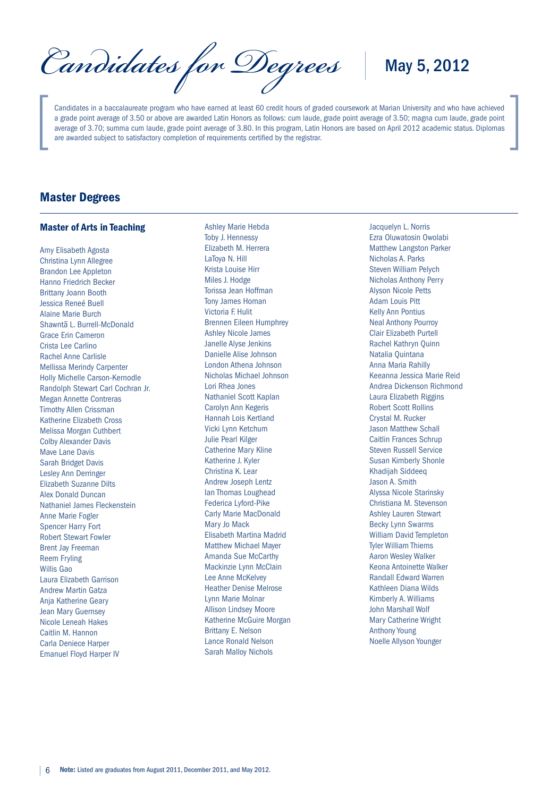*Candidates for Degrees*

# May 5, 2012

Candidates in a baccalaureate program who have earned at least 60 credit hours of graded coursework at Marian University and who have achieved a grade point average of 3.50 or above are awarded Latin Honors as follows: cum laude, grade point average of 3.50; magna cum laude, grade point average of 3.70; summa cum laude, grade point average of 3.80. In this program, Latin Honors are based on April 2012 academic status. Diplomas are awarded subject to satisfactory completion of requirements certified by the registrar.

# Master Degrees

#### Master of Arts in Teaching

Amy Elisabeth Agosta Christina Lynn Allegree Brandon Lee Appleton Hanno Friedrich Becker Brittany Joann Booth Jessica Reneé Buell Alaine Marie Burch Shawnta L. Burrell-McDonald Grace Erin Cameron Crista Lee Carlino Rachel Anne Carlisle Mellissa Merindy Carpenter Holly Michelle Carson-Kernodle Randolph Stewart Carl Cochran Jr. Megan Annette Contreras Timothy Allen Crissman Katherine Elizabeth Cross Melissa Morgan Cuthbert Colby Alexander Davis Mave Lane Davis Sarah Bridget Davis Lesley Ann Derringer Elizabeth Suzanne Dilts Alex Donald Duncan Nathaniel James Fleckenstein Anne Marie Fogler Spencer Harry Fort Robert Stewart Fowler Brent Jay Freeman Reem Fryling Willis Gao Laura Elizabeth Garrison Andrew Martin Gatza Anja Katherine Geary Jean Mary Guernsey Nicole Leneah Hakes Caitlin M. Hannon Carla Deniece Harper Emanuel Floyd Harper IV

Ashley Marie Hebda Toby J. Hennessy Elizabeth M. Herrera LaToya N. Hill Krista Louise Hirr Miles J. Hodge Torissa Jean Hoffman Tony James Homan Victoria F. Hulit Brennen Eileen Humphrey Ashley Nicole James Janelle Alyse Jenkins Danielle Alise Johnson London Athena Johnson Nicholas Michael Johnson Lori Rhea Jones Nathaniel Scott Kaplan Carolyn Ann Kegeris Hannah Lois Kertland Vicki Lynn Ketchum Julie Pearl Kilger Catherine Mary Kline Katherine J. Kyler Christina K. Lear Andrew Joseph Lentz Ian Thomas Loughead Federica Lyford-Pike Carly Marie MacDonald Mary Jo Mack Elisabeth Martina Madrid Matthew Michael Mayer Amanda Sue McCarthy Mackinzie Lynn McClain Lee Anne McKelvey Heather Denise Melrose Lynn Marie Molnar Allison Lindsey Moore Katherine McGuire Morgan Brittany E. Nelson Lance Ronald Nelson Sarah Malloy Nichols

Jacquelyn L. Norris Ezra Oluwatosin Owolabi Matthew Langston Parker Nicholas A. Parks Steven William Pelych Nicholas Anthony Perry Alyson Nicole Petts Adam Louis Pitt Kelly Ann Pontius Neal Anthony Pourroy Clair Elizabeth Purtell Rachel Kathryn Quinn Natalia Quintana Anna Maria Rahilly Keeanna Jessica Marie Reid Andrea Dickenson Richmond Laura Elizabeth Riggins Robert Scott Rollins Crystal M. Rucker Jason Matthew Schall Caitlin Frances Schrup Steven Russell Service Susan Kimberly Shonle Khadijah Siddeeq Jason A. Smith Alyssa Nicole Starinsky Christiana M. Stevenson Ashley Lauren Stewart Becky Lynn Swarms William David Templeton Tyler William Thiems Aaron Wesley Walker Keona Antoinette Walker Randall Edward Warren Kathleen Diana Wilds Kimberly A. Williams John Marshall Wolf Mary Catherine Wright Anthony Young Noelle Allyson Younger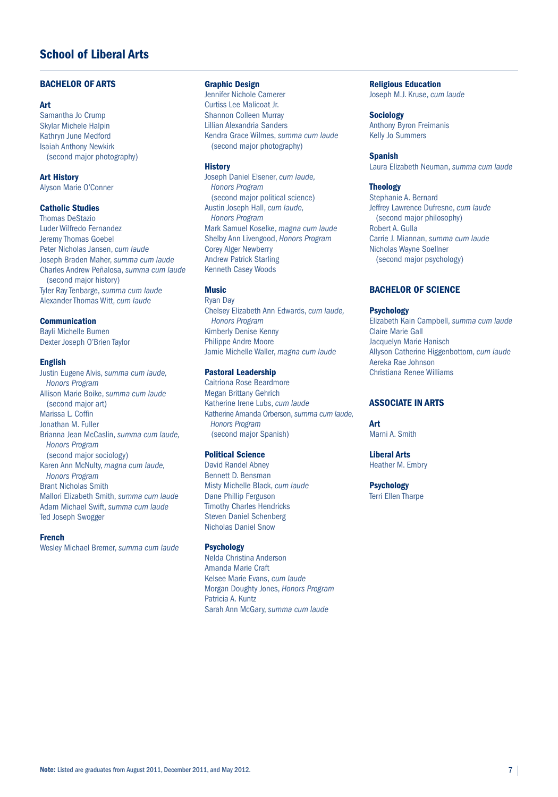# School of Liberal Arts

### Bachelor of Arts

#### Art

Samantha Jo Crump Skylar Michele Halpin Kathryn June Medford Isaiah Anthony Newkirk (second major photography)

Art History Alyson Marie O'Conner

### Catholic Studies

Thomas DeStazio Luder Wilfredo Fernandez Jeremy Thomas Goebel Peter Nicholas Jansen, *cum laude* Joseph Braden Maher, *summa cum laude* Charles Andrew Peñalosa, *summa cum laude* (second major history) Tyler Ray Tenbarge, *summa cum laude* Alexander Thomas Witt, *cum laude*

#### Communication

Bayli Michelle Bumen Dexter Joseph O'Brien Taylor

#### English

Justin Eugene Alvis, *summa cum laude, Honors Program* Allison Marie Boike, *summa cum laude* (second major art) Marissa L. Coffin Jonathan M. Fuller Brianna Jean McCaslin, *summa cum laude, Honors Program* (second major sociology) Karen Ann McNulty, *magna cum laude, Honors Program* Brant Nicholas Smith Mallori Elizabeth Smith, *summa cum laude* Adam Michael Swift, *summa cum laude* Ted Joseph Swogger

#### French

Wesley Michael Bremer, *summa cum laude*

#### Graphic Design

Jennifer Nichole Camerer Curtiss Lee Malicoat Jr. Shannon Colleen Murray Lillian Alexandria Sanders Kendra Grace Wilmes, *summa cum laude* (second major photography)

#### **History**

Joseph Daniel Elsener, *cum laude, Honors Program* (second major political science) Austin Joseph Hall, *cum laude, Honors Program* Mark Samuel Koselke, *magna cum laude* Shelby Ann Livengood, *Honors Program* Corey Alger Newberry Andrew Patrick Starling Kenneth Casey Woods

### **Music**

Ryan Day Chelsey Elizabeth Ann Edwards, *cum laude, Honors Program* Kimberly Denise Kenny Philippe Andre Moore Jamie Michelle Waller, *magna cum laude*

#### Pastoral Leadership

Caitriona Rose Beardmore Megan Brittany Gehrich Katherine Irene Lubs, *cum laude* Katherine Amanda Orberson, *summa cum laude, Honors Program* (second major Spanish)

#### Political Science

David Randel Abney Bennett D. Bensman Misty Michelle Black, *cum laude* Dane Phillip Ferguson Timothy Charles Hendricks Steven Daniel Schenberg Nicholas Daniel Snow

### Psychology

Nelda Christina Anderson Amanda Marie Craft Kelsee Marie Evans, *cum laude* Morgan Doughty Jones, *Honors Program* Patricia A. Kuntz Sarah Ann McGary, *summa cum laude*

# Religious Education

Joseph M.J. Kruse, *cum laude*

Sociology Anthony Byron Freimanis Kelly Jo Summers

#### Spanish

Laura Elizabeth Neuman, *summa cum laude*

### **Theology**

Stephanie A. Bernard Jeffrey Lawrence Dufresne, *cum laude* (second major philosophy) Robert A. Gulla Carrie J. Miannan, *summa cum laude* Nicholas Wayne Soellner (second major psychology)

### Bachelor of Science

### Psychology

Elizabeth Kain Campbell, *summa cum laude* Claire Marie Gall Jacquelyn Marie Hanisch Allyson Catherine Higgenbottom, *cum laude* Aereka Rae Johnson Christiana Renee Williams

### Associate in Arts

### Art

Marni A. Smith

#### Liberal Arts Heather M. Embry

Psychology Terri Ellen Tharpe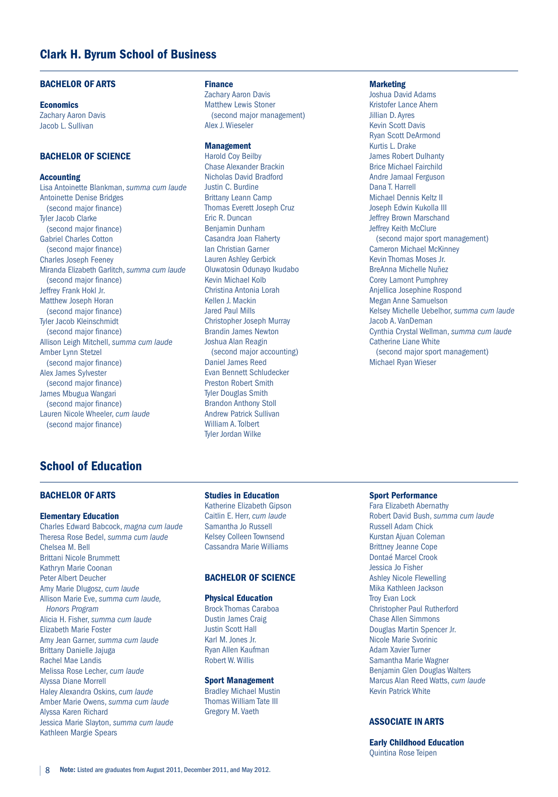# Clark H. Byrum School of Business

### BACHELOR OF ARTS

#### Economics

Zachary Aaron Davis Jacob L. Sullivan

### Bachelor of Science

#### Accounting

Lisa Antoinette Blankman, *summa cum laude* Antoinette Denise Bridges (second major finance) Tyler Jacob Clarke (second major finance) Gabriel Charles Cotton (second major finance) Charles Joseph Feeney Miranda Elizabeth Garlitch, *summa cum laude* (second major finance) Jeffrey Frank Hokl Jr. Matthew Joseph Horan (second major finance) Tyler Jacob Kleinschmidt (second major finance) Allison Leigh Mitchell, *summa cum laude* Amber Lynn Stetzel (second major finance) Alex James Sylvester (second major finance) James Mbugua Wangari (second major finance) Lauren Nicole Wheeler, *cum laude* (second major finance)

### Finance

Zachary Aaron Davis Matthew Lewis Stoner (second major management) Alex J. Wieseler

### Management

Harold Coy Beilby Chase Alexander Brackin Nicholas David Bradford Justin C. Burdine Brittany Leann Camp Thomas Everett Joseph Cruz Eric R. Duncan Benjamin Dunham Casandra Joan Flaherty Ian Christian Garner Lauren Ashley Gerbick Oluwatosin Odunayo Ikudabo Kevin Michael Kolb Christina Antonia Lorah Kellen J. Mackin Jared Paul Mills Christopher Joseph Murray Brandin James Newton Joshua Alan Reagin (second major accounting) Daniel James Reed Evan Bennett Schludecker Preston Robert Smith Tyler Douglas Smith Brandon Anthony Stoll Andrew Patrick Sullivan William A. Tolbert Tyler Jordan Wilke

#### **Marketing**

Joshua David Adams Kristofer Lance Ahern Jillian D. Ayres Kevin Scott Davis Ryan Scott DeArmond Kurtis L. Drake James Robert Dulhanty Brice Michael Fairchild Andre Jamaal Ferguson Dana T. Harrell Michael Dennis Keltz II Joseph Edwin Kukolla III Jeffrey Brown Marschand Jeffrey Keith McClure (second major sport management) Cameron Michael McKinney Kevin Thomas Moses Jr. BreAnna Michelle Nuñez Corey Lamont Pumphrey Anjellica Josephine Rospond Megan Anne Samuelson Kelsey Michelle Uebelhor, *summa cum laude* Jacob A. VanDeman Cynthia Crystal Wellman, *summa cum laude* Catherine Liane White (second major sport management) Michael Ryan Wieser

# School of Education

### Bachelor of Arts

### Elementary Education

Charles Edward Babcock, *magna cum laude* Theresa Rose Bedel, *summa cum laude* Chelsea M. Bell Brittani Nicole Brummett Kathryn Marie Coonan Peter Albert Deucher Amy Marie Dlugosz, *cum laude* Allison Marie Eve, *summa cum laude, Honors Program* Alicia H. Fisher, *summa cum laude* Elizabeth Marie Foster Amy Jean Garner, *summa cum laude* Brittany Danielle Jajuga Rachel Mae Landis Melissa Rose Lecher, *cum laude* Alyssa Diane Morrell Haley Alexandra Oskins, *cum laude* Amber Marie Owens, *summa cum laude* Alyssa Karen Richard Jessica Marie Slayton, *summa cum laude* Kathleen Margie Spears

#### Studies in Education

Katherine Elizabeth Gipson Caitlin E. Herr, *cum laude* Samantha Jo Russell Kelsey Colleen Townsend Cassandra Marie Williams

### BACHELOR OF SCIENCE

#### Physical Education

Brock Thomas Caraboa Dustin James Craig Justin Scott Hall Karl M. Jones Jr. Ryan Allen Kaufman Robert W. Willis

#### Sport Management

Bradley Michael Mustin Thomas William Tate III Gregory M. Vaeth

### Sport Performance

Fara Elizabeth Abernathy Robert David Bush, *summa cum laude* Russell Adam Chick Kurstan Ajuan Coleman Brittney Jeanne Cope Dontaé Marcel Crook Jessica Jo Fisher Ashley Nicole Flewelling Mika Kathleen Jackson Troy Evan Lock Christopher Paul Rutherford Chase Allen Simmons Douglas Martin Spencer Jr. Nicole Marie Svorinic Adam Xavier Turner Samantha Marie Wagner Benjamin Glen Douglas Walters Marcus Alan Reed Watts, *cum laude* Kevin Patrick White

### ASSOCIATE IN ARTS

Early Childhood Education Quintina Rose Teipen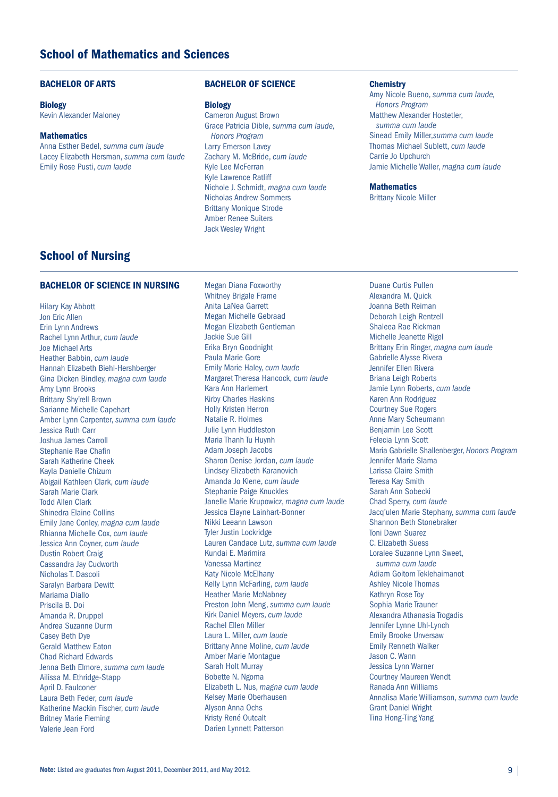### Bachelor of Arts

### **Biology**

Kevin Alexander Maloney

### **Mathematics**

Anna Esther Bedel, *summa cum laude* Lacey Elizabeth Hersman, *summa cum laude* Emily Rose Pusti, *cum laude*

### Bachelor of Science

#### **Biology**

Cameron August Brown Grace Patricia Dible, *summa cum laude, Honors Program* Larry Emerson Lavey Zachary M. McBride, *cum laude* Kyle Lee McFerran Kyle Lawrence Ratliff Nichole J. Schmidt, *magna cum laude* Nicholas Andrew Sommers Brittany Monique Strode Amber Renee Suiters Jack Wesley Wright

#### **Chemistry**

Amy Nicole Bueno, *summa cum laude, Honors Program* Matthew Alexander Hostetler, *summa cum laude* Sinead Emily Miller,*summa cum laude* Thomas Michael Sublett, *cum laude* Carrie Jo Upchurch Jamie Michelle Waller, *magna cum laude*

#### **Mathematics**

Brittany Nicole Miller

# School of Nursing

### Bachelor of Science in Nursing

Hilary Kay Abbott Jon Eric Allen Erin Lynn Andrews Rachel Lynn Arthur, *cum laude* Joe Michael Arts Heather Babbin, *cum laude* Hannah Elizabeth Biehl-Hershberger Gina Dicken Bindley, *magna cum laude* Amy Lynn Brooks Brittany Shy'rell Brown Sarianne Michelle Capehart Amber Lynn Carpenter, *summa cum laude* Jessica Ruth Carr Joshua James Carroll Stephanie Rae Chafin Sarah Katherine Cheek Kayla Danielle Chizum Abigail Kathleen Clark, *cum laude* Sarah Marie Clark Todd Allen Clark Shinedra Elaine Collins Emily Jane Conley, *magna cum laude* Rhianna Michelle Cox, *cum laude* Jessica Ann Coyner, *cum laude* Dustin Robert Craig Cassandra Jay Cudworth Nicholas T. Dascoli Saralyn Barbara Dewitt Mariama Diallo Priscila B. Doi Amanda R. Druppel Andrea Suzanne Durm Casey Beth Dye Gerald Matthew Eaton Chad Richard Edwards Jenna Beth Elmore, *summa cum laude* Ailissa M. Ethridge-Stapp April D. Faulconer Laura Beth Feder, *cum laude* Katherine Mackin Fischer, *cum laude* Britney Marie Fleming Valerie Jean Ford

Megan Diana Foxworthy Whitney Brigale Frame Anita LaNea Garrett Megan Michelle Gebraad Megan Elizabeth Gentleman Jackie Sue Gill Erika Bryn Goodnight Paula Marie Gore Emily Marie Haley, *cum laude* Margaret Theresa Hancock, *cum laude* Kara Ann Harlemert Kirby Charles Haskins Holly Kristen Herron Natalie R. Holmes Julie Lynn Huddleston Maria Thanh Tu Huynh Adam Joseph Jacobs Sharon Denise Jordan, *cum laude* Lindsey Elizabeth Karanovich Amanda Jo Klene, *cum laude* Stephanie Paige Knuckles Janelle Marie Krupowicz, *magna cum laude* Jessica Elayne Lainhart-Bonner Nikki Leeann Lawson Tyler Justin Lockridge Lauren Candace Lutz, *summa cum laude* Kundai E. Marimira Vanessa Martinez Katy Nicole McElhany Kelly Lynn McFarling, *cum laude* Heather Marie McNabney Preston John Meng, *summa cum laude* Kirk Daniel Meyers, *cum laude* Rachel Ellen Miller Laura L. Miller, *cum laude* Brittany Anne Moline, *cum laude* Amber Marie Montague Sarah Holt Murray Bobette N. Ngoma Elizabeth L. Nus, *magna cum laude* Kelsey Marie Oberhausen Alyson Anna Ochs Kristy René Outcalt Darien Lynnett Patterson

Duane Curtis Pullen Alexandra M. Quick Joanna Beth Reiman Deborah Leigh Rentzell Shaleea Rae Rickman Michelle Jeanette Rigel Brittany Erin Ringer, *magna cum laude* Gabrielle Alysse Rivera Jennifer Ellen Rivera Briana Leigh Roberts Jamie Lynn Roberts, *cum laude* Karen Ann Rodriguez Courtney Sue Rogers Anne Mary Scheumann Benjamin Lee Scott Felecia Lynn Scott Maria Gabrielle Shallenberger, *Honors Program* Jennifer Marie Slama Larissa Claire Smith Teresa Kay Smith Sarah Ann Sobecki Chad Sperry, *cum laude* Jacq'ulen Marie Stephany, *summa cum laude* Shannon Beth Stonebraker Toni Dawn Suarez C. Elizabeth Suess Loralee Suzanne Lynn Sweet, *summa cum laude* Adiam Goitom Teklehaimanot Ashley Nicole Thomas Kathryn Rose Toy Sophia Marie Trauner Alexandra Athanasia Trogadis Jennifer Lynne Uhl-Lynch Emily Brooke Unversaw Emily Renneth Walker Jason C. Wann Jessica Lynn Warner Courtney Maureen Wendt Ranada Ann Williams Annalisa Marie Williamson, *summa cum laude* Grant Daniel Wright Tina Hong-Ting Yang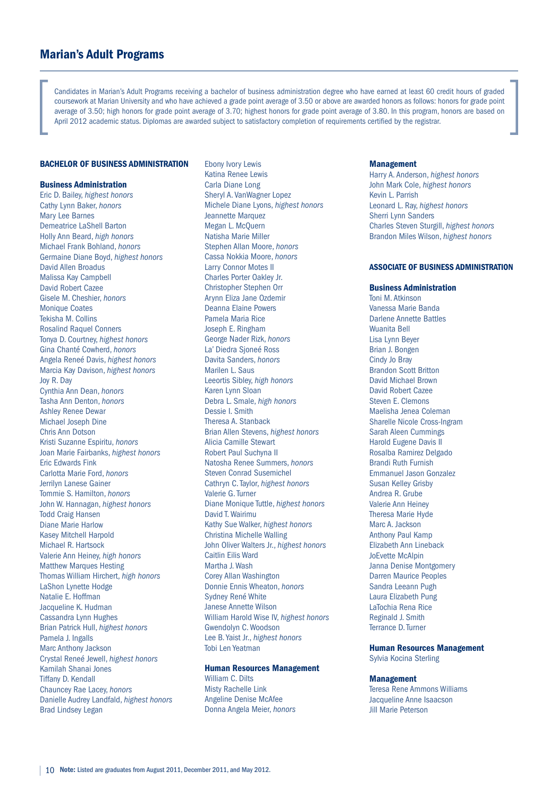Candidates in Marian's Adult Programs receiving a bachelor of business administration degree who have earned at least 60 credit hours of graded coursework at Marian University and who have achieved a grade point average of 3.50 or above are awarded honors as follows: honors for grade point average of 3.50; high honors for grade point average of 3.70; highest honors for grade point average of 3.80. In this program, honors are based on April 2012 academic status. Diplomas are awarded subject to satisfactory completion of requirements certified by the registrar.

### Bachelor of Business Administration

### Business Administration

Eric D. Bailey, *highest honors* Cathy Lynn Baker, *honors* Mary Lee Barnes Demeatrice LaShell Barton Holly Ann Beard, *high honors* Michael Frank Bohland, *honors* Germaine Diane Boyd, *highest honors* David Allen Broadus Malissa Kay Campbell David Robert Cazee Gisele M. Cheshier, *honors* Monique Coates Tekisha M. Collins Rosalind Raquel Conners Tonya D. Courtney, *highest honors* Gina Chanté Cowherd, *honors* Angela Reneé Davis, *highest honors* Marcia Kay Davison, *highest honors* Joy R. Day Cynthia Ann Dean, *honors* Tasha Ann Denton, *honors* Ashley Renee Dewar Michael Joseph Dine Chris Ann Dotson Kristi Suzanne Espiritu, *honors* Joan Marie Fairbanks, *highest honors* Eric Edwards Fink Carlotta Marie Ford, *honors* Jerrilyn Lanese Gainer Tommie S. Hamilton, *honors* John W. Hannagan, *highest honors* Todd Craig Hansen Diane Marie Harlow Kasey Mitchell Harpold Michael R. Hartsock Valerie Ann Heiney, *high honors* Matthew Marques Hesting Thomas William Hirchert, *high honors* LaShon Lynette Hodge Natalie E. Hoffman Jacqueline K. Hudman Cassandra Lynn Hughes Brian Patrick Hull, *highest honors* Pamela J. Ingalls Marc Anthony Jackson Crystal Reneé Jewell, *highest honors* Kamilah Shanai Jones Tiffany D. Kendall Chauncey Rae Lacey, *honors* Danielle Audrey Landfald, *highest honors* Brad Lindsey Legan

Ebony Ivory Lewis Katina Renee Lewis Carla Diane Long Sheryl A. VanWagner Lopez Michele Diane Lyons, *highest honors* Jeannette Marquez Megan L. McQuern Natisha Marie Miller Stephen Allan Moore, *honors* Cassa Nokkia Moore, *honors* Larry Connor Motes II Charles Porter Oakley Jr. Christopher Stephen Orr Arynn Eliza Jane Ozdemir Deanna Elaine Powers Pamela Maria Rice Joseph E. Ringham George Nader Rizk, *honors* La' Diedra Sjoneé Ross Davita Sanders, *honors* Marilen L. Saus Leeortis Sibley, *high honors* Karen Lynn Sloan Debra L. Smale, *high honors* Dessie I. Smith Theresa A. Stanback Brian Allen Stevens, *highest honors* Alicia Camille Stewart Robert Paul Suchyna II Natosha Renee Summers, *honors* Steven Conrad Susemichel Cathryn C. Taylor, *highest honors* Valerie G. Turner Diane Monique Tuttle, *highest honors* David T. Wairimu Kathy Sue Walker, *highest honors* Christina Michelle Walling John Oliver Walters Jr., *highest honors* Caitlin Eilis Ward Martha J. Wash Corey Allan Washington Donnie Ennis Wheaton, *honors* Sydney René White Janese Annette Wilson William Harold Wise IV, *highest honors* Gwendolyn C. Woodson Lee B. Yaist Jr., *highest honors* Tobi Len Yeatman

#### Human Resources Management

William C. Dilts Misty Rachelle Link Angeline Denise McAfee Donna Angela Meier, *honors*

### Management

Harry A. Anderson, *highest honors* John Mark Cole, *highest honors* Kevin L. Parrish Leonard L. Ray, *highest honors* Sherri Lynn Sanders Charles Steven Sturgill, *highest honors* Brandon Miles Wilson, *highest honors*

#### Associate of Business Administration

Business Administration Toni M. Atkinson Vanessa Marie Banda Darlene Annette Battles Wuanita Bell Lisa Lynn Beyer Brian J. Bongen Cindy Jo Bray Brandon Scott Britton David Michael Brown David Robert Cazee Steven E. Clemons Maelisha Jenea Coleman Sharelle Nicole Cross-Ingram Sarah Aleen Cummings Harold Eugene Davis II Rosalba Ramirez Delgado Brandi Ruth Furnish Emmanuel Jason Gonzalez Susan Kelley Grisby Andrea R. Grube Valerie Ann Heiney Theresa Marie Hyde Marc A. Jackson Anthony Paul Kamp Elizabeth Ann Lineback JoEvette McAlpin Janna Denise Montgomery Darren Maurice Peoples Sandra Leeann Pugh Laura Elizabeth Pung LaTochia Rena Rice Reginald J. Smith Terrance D. Turner

Human Resources Management Sylvia Kocina Sterling

#### Management

Teresa Rene Ammons Williams Jacqueline Anne Isaacson Jill Marie Peterson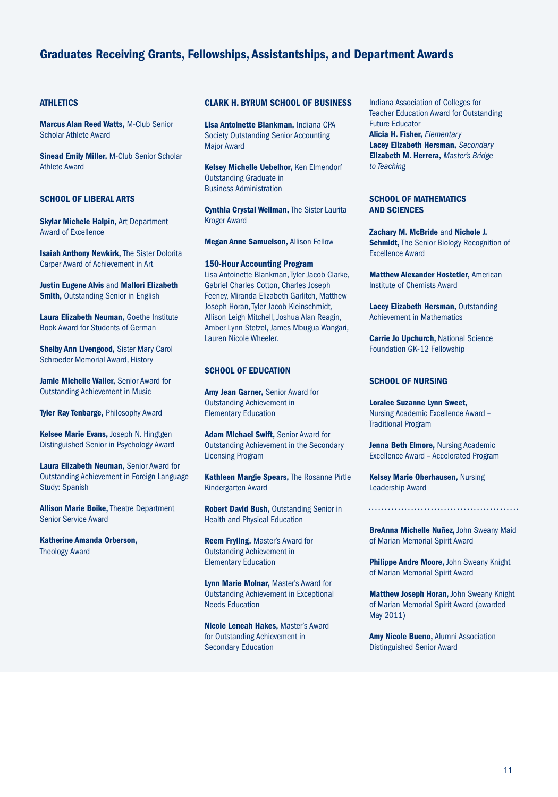# Graduates Receiving Grants, Fellowships, Assistantships, and Department Awards

#### **ATHLETICS**

Marcus Alan Reed Watts, M-Club Senior Scholar Athlete Award

**Sinead Emily Miller, M-Club Senior Scholar** Athlete Award

#### School of Liberal Arts

Skylar Michele Halpin, Art Department Award of Excellence

Isaiah Anthony Newkirk, The Sister Dolorita Carper Award of Achievement in Art

Justin Eugene Alvis and Mallori Elizabeth **Smith, Outstanding Senior in English** 

Laura Elizabeth Neuman, Goethe Institute Book Award for Students of German

**Shelby Ann Livengood, Sister Mary Carol** Schroeder Memorial Award, History

Jamie Michelle Waller, Senior Award for Outstanding Achievement in Music

Tyler Ray Tenbarge, Philosophy Award

Kelsee Marie Evans, Joseph N. Hingtgen Distinguished Senior in Psychology Award

Laura Elizabeth Neuman, Senior Award for Outstanding Achievement in Foreign Language Study: Spanish

Allison Marie Boike, Theatre Department Senior Service Award

Katherine Amanda Orberson, Theology Award

### Clark H. Byrum School of Business

Lisa Antoinette Blankman, Indiana CPA Society Outstanding Senior Accounting Major Award

Kelsey Michelle Uebelhor, Ken Elmendorf Outstanding Graduate in Business Administration

Cynthia Crystal Wellman, The Sister Laurita Kroger Award

Megan Anne Samuelson, Allison Fellow

150-Hour Accounting Program Lisa Antoinette Blankman, Tyler Jacob Clarke, Gabriel Charles Cotton, Charles Joseph Feeney, Miranda Elizabeth Garlitch, Matthew Joseph Horan, Tyler Jacob Kleinschmidt, Allison Leigh Mitchell, Joshua Alan Reagin, Amber Lynn Stetzel, James Mbugua Wangari, Lauren Nicole Wheeler.

### SCHOOL OF EDUCATION

Amy Jean Garner, Senior Award for Outstanding Achievement in Elementary Education

Adam Michael Swift, Senior Award for Outstanding Achievement in the Secondary Licensing Program

Kathleen Margie Spears, The Rosanne Pirtle Kindergarten Award

Robert David Bush, Outstanding Senior in Health and Physical Education

Reem Fryling, Master's Award for Outstanding Achievement in Elementary Education

Lynn Marie Molnar, Master's Award for Outstanding Achievement in Exceptional Needs Education

Nicole Leneah Hakes, Master's Award for Outstanding Achievement in Secondary Education

Indiana Association of Colleges for Teacher Education Award for Outstanding Future Educator Alicia H. Fisher, *Elementary* Lacey Elizabeth Hersman, *Secondary* Elizabeth M. Herrera, *Master's Bridge to Teaching*

### SCHOOL OF MATHEMATICS and Sciences

Zachary M. McBride and Nichole J. Schmidt, The Senior Biology Recognition of Excellence Award

Matthew Alexander Hostetler, American Institute of Chemists Award

Lacey Elizabeth Hersman, Outstanding Achievement in Mathematics

Carrie Jo Upchurch, National Science Foundation GK-12 Fellowship

### SCHOOL OF NURSING

Loralee Suzanne Lynn Sweet, Nursing Academic Excellence Award – Traditional Program

Jenna Beth Elmore, Nursing Academic Excellence Award – Accelerated Program

Kelsey Marie Oberhausen, Nursing Leadership Award

BreAnna Michelle Nuñez, John Sweany Maid of Marian Memorial Spirit Award

Philippe Andre Moore, John Sweany Knight of Marian Memorial Spirit Award

Matthew Joseph Horan, John Sweany Knight of Marian Memorial Spirit Award (awarded May 2011)

Amy Nicole Bueno, Alumni Association Distinguished Senior Award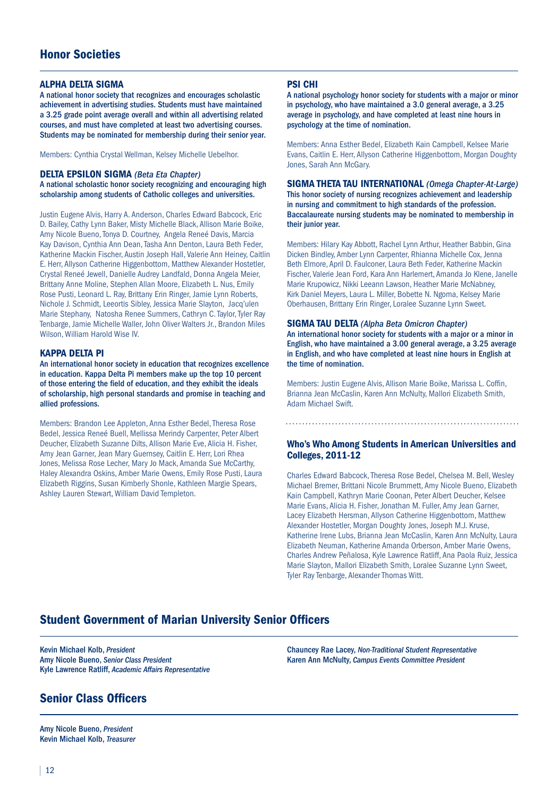# Honor Societies

### ALPHA DELTA SIGMA

A national honor society that recognizes and encourages scholastic achievement in advertising studies. Students must have maintained a 3.25 grade point average overall and within all advertising related courses, and must have completed at least two advertising courses. Students may be nominated for membership during their senior year.

Members: Cynthia Crystal Wellman, Kelsey Michelle Uebelhor.

#### DELTA EPSILON SIGMA *(Beta Eta Chapter)*

A national scholastic honor society recognizing and encouraging high scholarship among students of Catholic colleges and universities.

Justin Eugene Alvis, Harry A. Anderson, Charles Edward Babcock, Eric D. Bailey, Cathy Lynn Baker, Misty Michelle Black, Allison Marie Boike, Amy Nicole Bueno, Tonya D. Courtney, Angela Reneé Davis, Marcia Kay Davison, Cynthia Ann Dean, Tasha Ann Denton, Laura Beth Feder, Katherine Mackin Fischer, Austin Joseph Hall, Valerie Ann Heiney, Caitlin E. Herr, Allyson Catherine Higgenbottom, Matthew Alexander Hostetler, Crystal Reneé Jewell, Danielle Audrey Landfald, Donna Angela Meier, Brittany Anne Moline, Stephen Allan Moore, Elizabeth L. Nus, Emily Rose Pusti, Leonard L. Ray, Brittany Erin Ringer, Jamie Lynn Roberts, Nichole J. Schmidt, Leeortis Sibley, Jessica Marie Slayton, Jacq'ulen Marie Stephany, Natosha Renee Summers, Cathryn C. Taylor, Tyler Ray Tenbarge, Jamie Michelle Waller, John Oliver Walters Jr., Brandon Miles Wilson, William Harold Wise IV.

### KAPPA DELTA PI

An international honor society in education that recognizes excellence in education. Kappa Delta Pi members make up the top 10 percent of those entering the field of education, and they exhibit the ideals of scholarship, high personal standards and promise in teaching and allied professions.

Members: Brandon Lee Appleton, Anna Esther Bedel, Theresa Rose Bedel, Jessica Reneé Buell, Mellissa Merindy Carpenter, Peter Albert Deucher, Elizabeth Suzanne Dilts, Allison Marie Eve, Alicia H. Fisher, Amy Jean Garner, Jean Mary Guernsey, Caitlin E. Herr, Lori Rhea Jones, Melissa Rose Lecher, Mary Jo Mack, Amanda Sue McCarthy, Haley Alexandra Oskins, Amber Marie Owens, Emily Rose Pusti, Laura Elizabeth Riggins, Susan Kimberly Shonle, Kathleen Margie Spears, Ashley Lauren Stewart, William David Templeton.

#### PSI CHI

A national psychology honor society for students with a major or minor in psychology, who have maintained a 3.0 general average, a 3.25 average in psychology, and have completed at least nine hours in psychology at the time of nomination.

Members: Anna Esther Bedel, Elizabeth Kain Campbell, Kelsee Marie Evans, Caitlin E. Herr, Allyson Catherine Higgenbottom, Morgan Doughty Jones, Sarah Ann McGary.

SIGMA THETA TAU INTERNATIONAL *(Omega Chapter-At-Large)*  This honor society of nursing recognizes achievement and leadership in nursing and commitment to high standards of the profession. Baccalaureate nursing students may be nominated to membership in their junior year.

Members: Hilary Kay Abbott, Rachel Lynn Arthur, Heather Babbin, Gina Dicken Bindley, Amber Lynn Carpenter, Rhianna Michelle Cox, Jenna Beth Elmore, April D. Faulconer, Laura Beth Feder, Katherine Mackin Fischer, Valerie Jean Ford, Kara Ann Harlemert, Amanda Jo Klene, Janelle Marie Krupowicz, Nikki Leeann Lawson, Heather Marie McNabney, Kirk Daniel Meyers, Laura L. Miller, Bobette N. Ngoma, Kelsey Marie Oberhausen, Brittany Erin Ringer, Loralee Suzanne Lynn Sweet.

#### SIGMA TAU DELTA *(Alpha Beta Omicron Chapter)*

An international honor society for students with a major or a minor in English, who have maintained a 3.00 general average, a 3.25 average in English, and who have completed at least nine hours in English at the time of nomination.

Members: Justin Eugene Alvis, Allison Marie Boike, Marissa L. Coffin, Brianna Jean McCaslin, Karen Ann McNulty, Mallori Elizabeth Smith, Adam Michael Swift.

### Who's Who Among Students in American Universities and Colleges, 2011-12

Charles Edward Babcock, Theresa Rose Bedel, Chelsea M. Bell, Wesley Michael Bremer, Brittani Nicole Brummett, Amy Nicole Bueno, Elizabeth Kain Campbell, Kathryn Marie Coonan, Peter Albert Deucher, Kelsee Marie Evans, Alicia H. Fisher, Jonathan M. Fuller, Amy Jean Garner, Lacey Elizabeth Hersman, Allyson Catherine Higgenbottom, Matthew Alexander Hostetler, Morgan Doughty Jones, Joseph M.J. Kruse, Katherine Irene Lubs, Brianna Jean McCaslin, Karen Ann McNulty, Laura Elizabeth Neuman, Katherine Amanda Orberson, Amber Marie Owens, Charles Andrew Peñalosa, Kyle Lawrence Ratliff, Ana Paola Ruiz, Jessica Marie Slayton, Mallori Elizabeth Smith, Loralee Suzanne Lynn Sweet, Tyler Ray Tenbarge, Alexander Thomas Witt.

# Student Government of Marian University Senior Officers

Kevin Michael Kolb, *President* Amy Nicole Bueno, *Senior Class President* Kyle Lawrence Ratliff, *Academic Affairs Representative* Chauncey Rae Lacey, *Non-Traditional Student Representative* Karen Ann McNulty, *Campus Events Committee President*

# Senior Class Officers

Amy Nicole Bueno, *President* Kevin Michael Kolb, *Treasurer*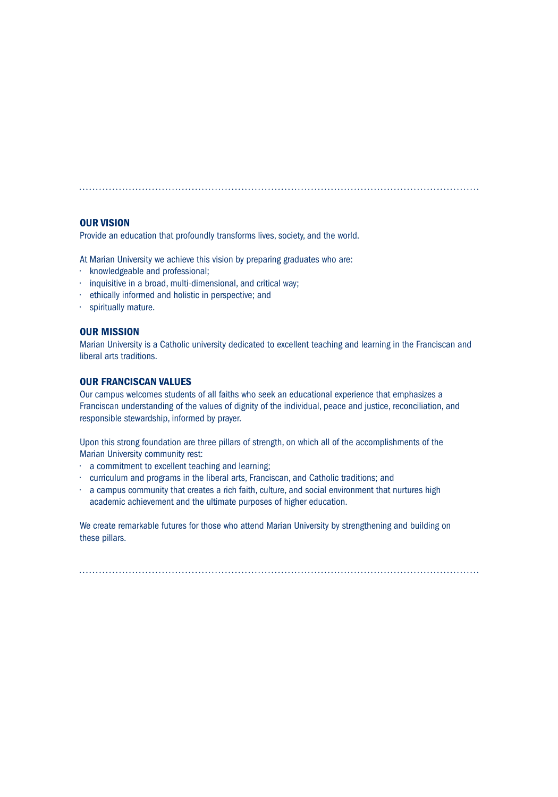### Our Vision

Provide an education that profoundly transforms lives, society, and the world.

At Marian University we achieve this vision by preparing graduates who are:

- • knowledgeable and professional;
- $\cdot$  inquisitive in a broad, multi-dimensional, and critical way;
- • ethically informed and holistic in perspective; and
- • spiritually mature.

### Our Mission

Marian University is a Catholic university dedicated to excellent teaching and learning in the Franciscan and liberal arts traditions.

### Our Franciscan Values

Our campus welcomes students of all faiths who seek an educational experience that emphasizes a Franciscan understanding of the values of dignity of the individual, peace and justice, reconciliation, and responsible stewardship, informed by prayer.

Upon this strong foundation are three pillars of strength, on which all of the accomplishments of the Marian University community rest:

- • a commitment to excellent teaching and learning;
- • curriculum and programs in the liberal arts, Franciscan, and Catholic traditions; and
- • a campus community that creates a rich faith, culture, and social environment that nurtures high academic achievement and the ultimate purposes of higher education.

We create remarkable futures for those who attend Marian University by strengthening and building on these pillars.